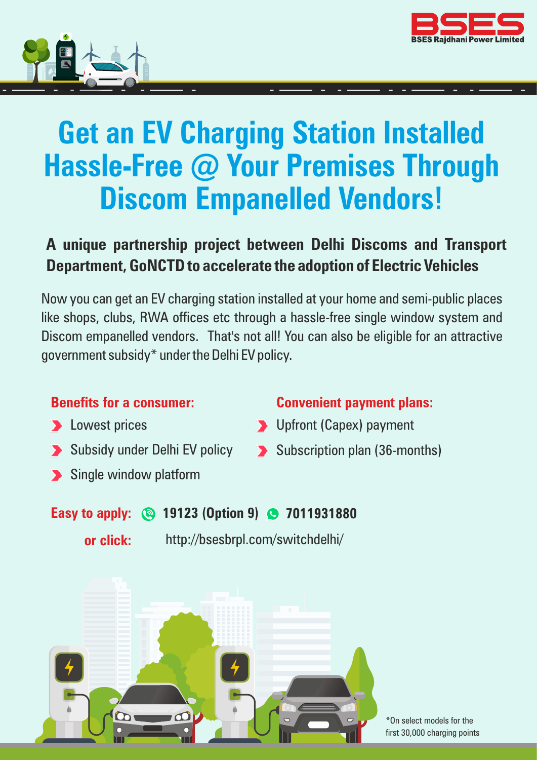<span id="page-0-0"></span>



# **Get an EV Charging Station Installed Hassle-Free @ Your Premises Through Discom Empanelled Vendors!**

## **A unique partnership project between Delhi Discoms and Transport Department, GoNCTD to accelerate the adoption of Electric Vehicles**

Now you can get an EV charging station installed at your home and semi-public places like shops, clubs, RWA offices etc through a hassle-free single window system and Discom empanelled vendors. That's not all! You can also be eligible for an attractive government subsidy\* under the Delhi EV policy.

#### **Benefits for a consumer:**

- **Lowest prices**
- Subsidy under Delhi EV policy
- Single window platform

#### **Convenient payment plans:**

- **D** Upfront (Capex) payment
- Subscription plan (36-months)

### **Easy to apply: 19123 (Option 9) 7011931880**

[http://bsesbrpl.com/switchdelhi/](#page-0-0) **or click:**



\*On select models for the first 30,000 charging points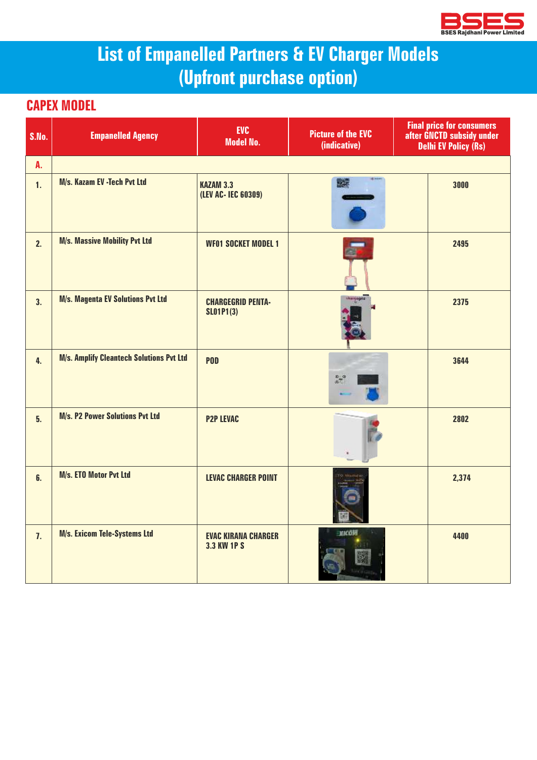

# **List of Empanelled Partners & EV Charger Models (Upfront purchase option)**

#### **CAPEX MODEL**

| S.No. | <b>Empanelled Agency</b>                        | <b>EVC</b><br><b>Model No.</b>                   | <b>Picture of the EVC</b><br>(indicative) | <b>Final price for consumers<br/>after GNCTD subsidy under</b><br><b>Delhi EV Policy (Rs)</b> |
|-------|-------------------------------------------------|--------------------------------------------------|-------------------------------------------|-----------------------------------------------------------------------------------------------|
| A.    |                                                 |                                                  |                                           |                                                                                               |
| 1.    | M/s. Kazam EV -Tech Pvt Ltd                     | <b>KAZAM 3.3</b><br>(LEV AC- IEC 60309)          | 醫療                                        | 3000                                                                                          |
| 2.    | <b>M/s. Massive Mobility Pvt Ltd</b>            | <b>WF01 SOCKET MODEL 1</b>                       |                                           | 2495                                                                                          |
| 3.    | <b>M/s. Magenta EV Solutions Pvt Ltd</b>        | <b>CHARGEGRID PENTA-</b><br><b>SLO1P1(3)</b>     | harrogeta                                 | 2375                                                                                          |
| 4.    | <b>M/s. Amplify Cleantech Solutions Pvt Ltd</b> | <b>POD</b>                                       | $27^{\circ}$                              | 3644                                                                                          |
| 5.    | <b>M/s. P2 Power Solutions Pvt Ltd</b>          | <b>P2P LEVAC</b>                                 |                                           | 2802                                                                                          |
| 6.    | M/s. ETO Motor Pvt Ltd                          | <b>LEVAC CHARGER POINT</b>                       |                                           | 2,374                                                                                         |
| 7.    | <b>M/s. Exicom Tele-Systems Ltd</b>             | <b>EVAC KIRANA CHARGER</b><br><b>3.3 KW 1P S</b> | <b>MACON</b>                              | 4400                                                                                          |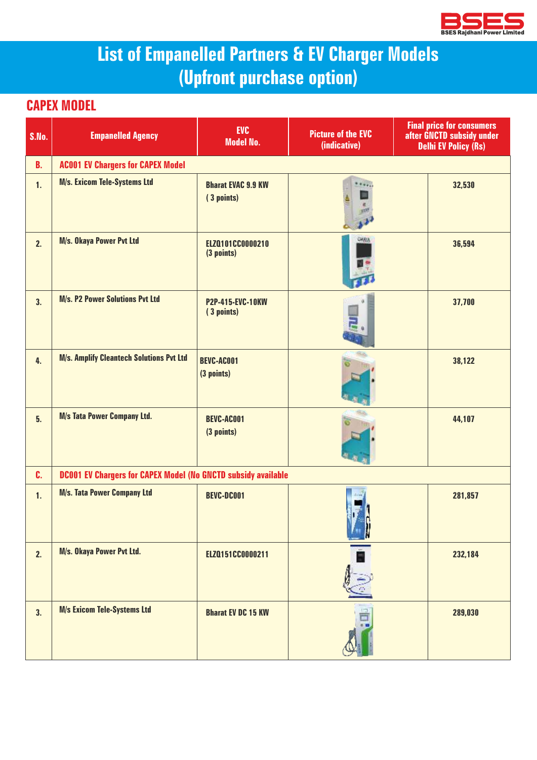

# **List of Empanelled Partners & EV Charger Models (Upfront purchase option)**

#### **CAPEX MODEL**

| S.No.     | <b>Empanelled Agency</b>                                             | <b>EVC</b><br><b>Model No.</b>          | <b>Picture of the EVC</b><br>(indicative) | <b>Final price for consumers</b><br>after GNCTD subsidy under<br><b>Delhi EV Policy (Rs)</b> |
|-----------|----------------------------------------------------------------------|-----------------------------------------|-------------------------------------------|----------------------------------------------------------------------------------------------|
| <b>B.</b> | <b>AC001 EV Chargers for CAPEX Model</b>                             |                                         |                                           |                                                                                              |
| 1.        | <b>M/s. Exicom Tele-Systems Ltd</b>                                  | <b>Bharat EVAC 9.9 KW</b><br>(3 points) |                                           | 32,530                                                                                       |
| 2.        | M/s. Okaya Power Pvt Ltd                                             | ELZQ101CC0000210<br>(3 points)          | <b>OKRIA</b>                              | 36,594                                                                                       |
| 3.        | <b>M/s. P2 Power Solutions Pvt Ltd</b>                               | <b>P2P-415-EVC-10KW</b><br>(3 points)   |                                           | 37,700                                                                                       |
| 4.        | <b>M/s. Amplify Cleantech Solutions Pvt Ltd</b>                      | <b>BEVC-AC001</b><br>(3 points)         |                                           | 38,122                                                                                       |
| 5.        | <b>M/s Tata Power Company Ltd.</b>                                   | <b>BEVC-AC001</b><br>(3 points)         |                                           | 44,107                                                                                       |
| C.        | <b>DC001 EV Chargers for CAPEX Model (No GNCTD subsidy available</b> |                                         |                                           |                                                                                              |
| 1.        | <b>M/s. Tata Power Company Ltd</b>                                   | <b>BEVC-DC001</b>                       |                                           | 281,857                                                                                      |
| 2.        | M/s. Okaya Power Pvt Ltd.                                            | ELZQ151CC0000211                        | Ë                                         | 232,184                                                                                      |
| 3.        | <b>M/s Exicom Tele-Systems Ltd</b>                                   | <b>Bharat EV DC 15 KW</b>               |                                           | 289,030                                                                                      |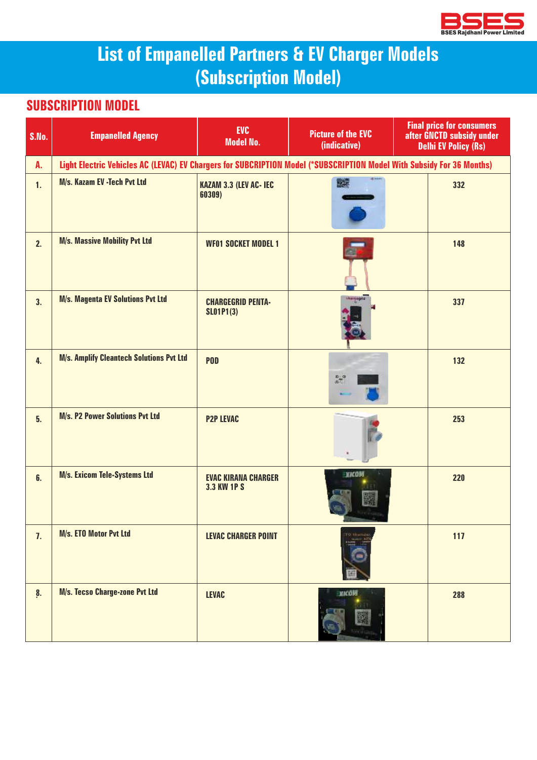

# **List of Empanelled Partners & EV Charger Models (Subscription Model)**

#### **SUBSCRIPTION MODEL**

| S.No.              | <b>Empanelled Agency</b>                                                                                              | <b>EVC</b><br><b>Model No.</b>               | <b>Picture of the EVC</b><br>(indicative) | <b>Final price for consumers</b><br>after GNCTD subsidy under<br><b>Delhi EV Policy (Rs)</b> |
|--------------------|-----------------------------------------------------------------------------------------------------------------------|----------------------------------------------|-------------------------------------------|----------------------------------------------------------------------------------------------|
| A.                 | Light Electric Vehicles AC (LEVAC) EV Chargers for SUBCRIPTION Model (*SUBSCRIPTION Model With Subsidy For 36 Months) |                                              |                                           |                                                                                              |
| 1.                 | M/s. Kazam EV -Tech Pvt Ltd                                                                                           | <b>KAZAM 3.3 (LEV AC- IEC</b><br>60309)      | ■罐                                        | 332                                                                                          |
| 2.                 | <b>M/s. Massive Mobility Pvt Ltd</b>                                                                                  | <b>WF01 SOCKET MODEL 1</b>                   |                                           | 148                                                                                          |
| 3.                 | <b>M/s. Magenta EV Solutions Pvt Ltd</b>                                                                              | <b>CHARGEGRID PENTA-</b><br><b>SLO1P1(3)</b> | distribution of                           | 337                                                                                          |
| 4.                 | <b>M/s. Amplify Cleantech Solutions Pvt Ltd</b>                                                                       | <b>POD</b>                                   | $\pi^a$                                   | 132                                                                                          |
| 5.                 | <b>M/s. P2 Power Solutions Pvt Ltd</b>                                                                                | <b>P2P LEVAC</b>                             |                                           | 253                                                                                          |
| 6.                 | <b>M/s. Exicom Tele-Systems Ltd</b>                                                                                   | <b>EVAC KIRANA CHARGER</b><br>3.3 KW 1P S    | <b>KICOM</b>                              | 220                                                                                          |
| 7.                 | M/s. ETO Motor Pvt Ltd                                                                                                | <b>LEVAC CHARGER POINT</b>                   |                                           | 117                                                                                          |
| $\boldsymbol{8}$ . | M/s. Tecso Charge-zone Pvt Ltd                                                                                        | <b>LEVAC</b>                                 | <b>MACON</b>                              | 288                                                                                          |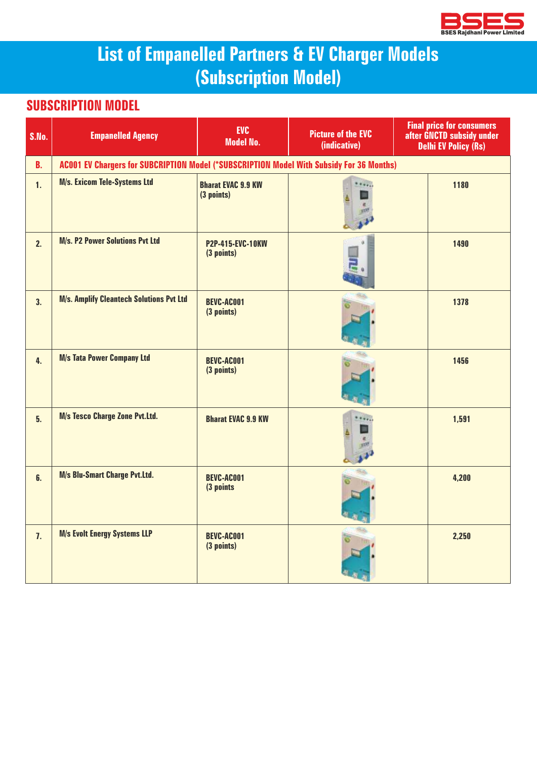

# **List of Empanelled Partners & EV Charger Models (Subscription Model)**

#### **SUBSCRIPTION MODEL**

| <b>S.No.</b> | <b>Empanelled Agency</b>                                                                 | <b>EVC</b><br><b>Model No.</b>          | <b>Picture of the EVC</b><br>(indicative) | <b>Final price for consumers</b><br>after GNCTD subsidy under<br><b>Delhi EV Policy (Rs)</b> |
|--------------|------------------------------------------------------------------------------------------|-----------------------------------------|-------------------------------------------|----------------------------------------------------------------------------------------------|
| <b>B.</b>    | AC001 EV Chargers for SUBCRIPTION Model (*SUBSCRIPTION Model With Subsidy For 36 Months) |                                         |                                           |                                                                                              |
| 1.           | <b>M/s. Exicom Tele-Systems Ltd</b>                                                      | <b>Bharat EVAC 9.9 KW</b><br>(3 points) |                                           | 1180                                                                                         |
| 2.           | <b>M/s. P2 Power Solutions Pvt Ltd</b>                                                   | <b>P2P-415-EVC-10KW</b><br>(3 points)   |                                           | 1490                                                                                         |
| 3.           | <b>M/s. Amplify Cleantech Solutions Pvt Ltd</b>                                          | <b>BEVC-AC001</b><br>(3 points)         |                                           | 1378                                                                                         |
| 4.           | <b>M/s Tata Power Company Ltd</b>                                                        | <b>BEVC-AC001</b><br>(3 points)         |                                           | 1456                                                                                         |
| 5.           | <b>M/s Tesco Charge Zone Pvt.Ltd.</b>                                                    | <b>Bharat EVAC 9.9 KW</b>               |                                           | 1,591                                                                                        |
| 6.           | <b>M/s Blu-Smart Charge Pvt.Ltd.</b>                                                     | <b>BEVC-AC001</b><br>(3 points          |                                           | 4,200                                                                                        |
| 7.           | <b>M/s Evolt Energy Systems LLP</b>                                                      | <b>BEVC-AC001</b><br>(3 points)         |                                           | 2,250                                                                                        |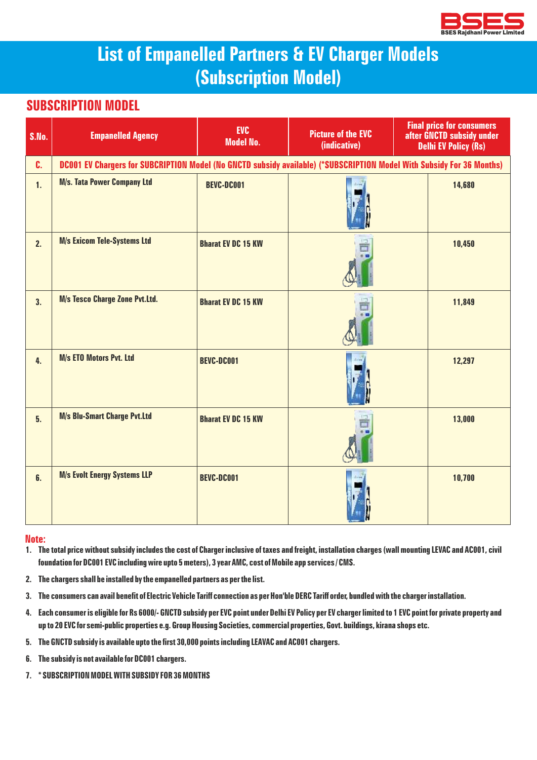

## **List of Empanelled Partners & EV Charger Models (Subscription Model)**

#### **SUBSCRIPTION MODEL**

| S.No. | <b>Empanelled Agency</b>              | <b>EVC</b><br><b>Model No.</b>                                                                                        | <b>Picture of the EVC</b><br>(indicative) | <b>Final price for consumers</b><br>after GNCTD subsidy under<br><b>Delhi EV Policy (Rs)</b> |  |
|-------|---------------------------------------|-----------------------------------------------------------------------------------------------------------------------|-------------------------------------------|----------------------------------------------------------------------------------------------|--|
| C.    |                                       | DC001 EV Chargers for SUBCRIPTION Model (No GNCTD subsidy available) (*SUBSCRIPTION Model With Subsidy For 36 Months) |                                           |                                                                                              |  |
| 1.    | <b>M/s. Tata Power Company Ltd</b>    | <b>BEVC-DC001</b>                                                                                                     |                                           | 14,680                                                                                       |  |
| 2.    | <b>M/s Exicom Tele-Systems Ltd</b>    | <b>Bharat EV DC 15 KW</b>                                                                                             |                                           | 10,450                                                                                       |  |
| 3.    | <b>M/s Tesco Charge Zone Pvt.Ltd.</b> | <b>Bharat EV DC 15 KW</b>                                                                                             |                                           | 11,849                                                                                       |  |
| 4.    | <b>M/s ETO Motors Pvt. Ltd</b>        | <b>BEVC-DC001</b>                                                                                                     |                                           | 12,297                                                                                       |  |
| 5.    | <b>M/s Blu-Smart Charge Pvt.Ltd</b>   | <b>Bharat EV DC 15 KW</b>                                                                                             |                                           | 13,000                                                                                       |  |
| 6.    | <b>M/s Evolt Energy Systems LLP</b>   | <b>BEVC-DC001</b>                                                                                                     |                                           | 10,700                                                                                       |  |

#### **Note:**

- **1. The total price without subsidy includes the cost of Charger inclusive of taxes and freight, installation charges (wall mounting LEVAC and AC001, civil foundation for DC001 EVC including wire upto 5 meters), 3 year AMC, cost of Mobile app services / CMS.**
- **2. The chargers shall be installed by the empanelled partners as per the list.**
- **3. The consumers can avail benefit of Electric Vehicle Tariff connection as per Hon'ble DERC Tariff order, bundled with the charger installation.**
- **4. Each consumer is eligible for Rs 6000/- GNCTD subsidy per EVC point under Delhi EV Policy per EV charger limited to 1 EVC point for private property and up to 20 EVC for semi-public properties e.g. Group Housing Societies, commercial properties, Govt. buildings, kirana shops etc.**
- **5. The GNCTD subsidy is available upto the first 30,000 points including LEAVAC and AC001 chargers.**
- **6. The subsidy is not available for DC001 chargers.**
- **7. \* SUBSCRIPTION MODEL WITH SUBSIDY FOR 36 MONTHS**